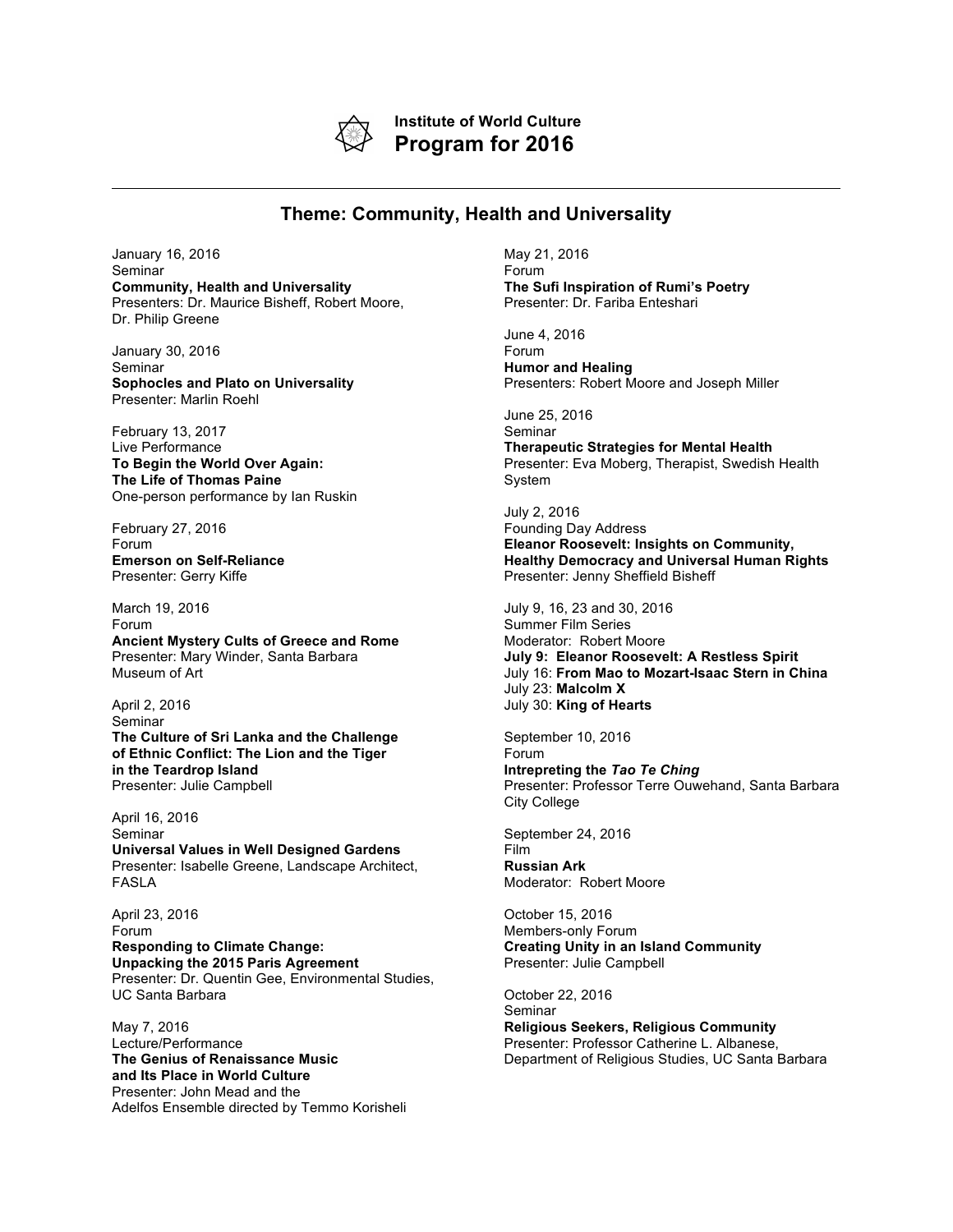

**Institute of World Culture Program for 2016**

## **Theme: Community, Health and Universality**

January 16, 2016 Seminar **Community, Health and Universality** Presenters: Dr. Maurice Bisheff, Robert Moore, Dr. Philip Greene

January 30, 2016 Seminar **Sophocles and Plato on Universality** Presenter: Marlin Roehl

February 13, 2017 Live Performance **To Begin the World Over Again: The Life of Thomas Paine** One-person performance by Ian Ruskin

February 27, 2016 Forum **Emerson on Self-Reliance** Presenter: Gerry Kiffe

March 19, 2016 Forum **Ancient Mystery Cults of Greece and Rome** Presenter: Mary Winder, Santa Barbara Museum of Art

April 2, 2016 Seminar **The Culture of Sri Lanka and the Challenge of Ethnic Conflict: The Lion and the Tiger in the Teardrop Island** Presenter: Julie Campbell

April 16, 2016 Seminar **Universal Values in Well Designed Gardens** Presenter: Isabelle Greene, Landscape Architect, FASLA

April 23, 2016 Forum **Responding to Climate Change: Unpacking the 2015 Paris Agreement** Presenter: Dr. Quentin Gee, Environmental Studies, UC Santa Barbara

May 7, 2016 Lecture/Performance **The Genius of Renaissance Music and Its Place in World Culture** Presenter: John Mead and the Adelfos Ensemble directed by Temmo Korisheli May 21, 2016 Forum **The Sufi Inspiration of Rumi's Poetry** Presenter: Dr. Fariba Enteshari

June 4, 2016 Forum **Humor and Healing** Presenters: Robert Moore and Joseph Miller

June 25, 2016 Seminar

**Therapeutic Strategies for Mental Health** Presenter: Eva Moberg, Therapist, Swedish Health System

July 2, 2016 Founding Day Address **Eleanor Roosevelt: Insights on Community, Healthy Democracy and Universal Human Rights** Presenter: Jenny Sheffield Bisheff

July 9, 16, 23 and 30, 2016 Summer Film Series Moderator: Robert Moore **July 9: Eleanor Roosevelt: A Restless Spirit** July 16: **From Mao to Mozart-Isaac Stern in China** July 23: **Malcolm X** July 30: **King of Hearts**

September 10, 2016 Forum **Intrepreting the** *Tao Te Ching* Presenter: Professor Terre Ouwehand, Santa Barbara City College

September 24, 2016 Film **Russian Ark** Moderator: Robert Moore

October 15, 2016 Members-only Forum **Creating Unity in an Island Community** Presenter: Julie Campbell

October 22, 2016 Seminar **Religious Seekers, Religious Community** Presenter: Professor Catherine L. Albanese, Department of Religious Studies, UC Santa Barbara